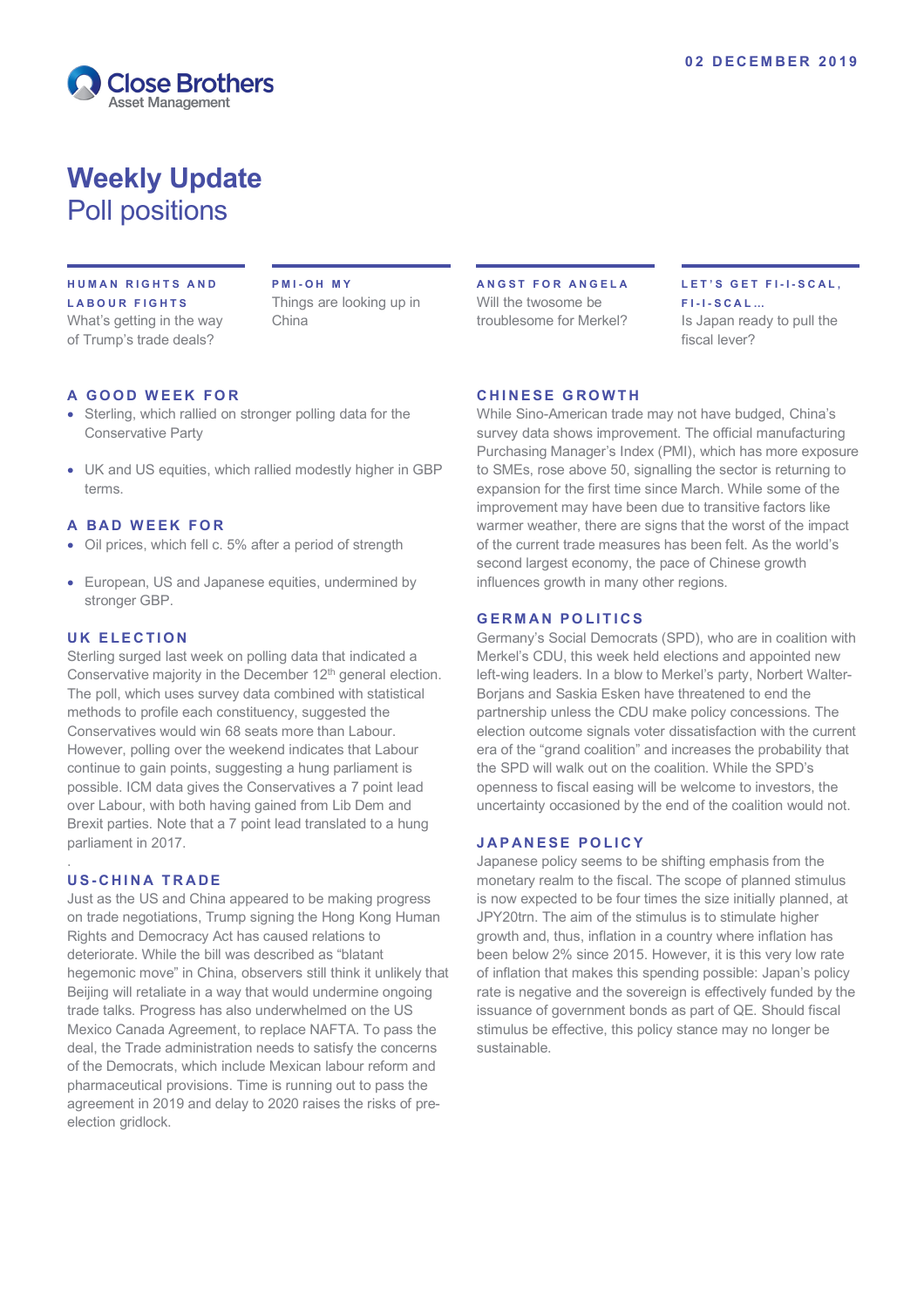

# **Weekly Update** Poll positions

#### **HUMAN RIGHTS AND LABOUR FIGHTS** What's getting in the way

of Trump's trade deals?

**PMI - OH MY** Things are looking up in China

#### **A GOOD WEEK FOR**

- Sterling, which rallied on stronger polling data for the Conservative Party
- UK and US equities, which rallied modestly higher in GBP terms.

#### **A BAD WEEK FOR**

- Oil prices, which fell c. 5% after a period of strength
- European, US and Japanese equities, undermined by stronger GBP.

#### **UK ELECTION**

Sterling surged last week on polling data that indicated a Conservative majority in the December 12<sup>th</sup> general election. The poll, which uses survey data combined with statistical methods to profile each constituency, suggested the Conservatives would win 68 seats more than Labour. However, polling over the weekend indicates that Labour continue to gain points, suggesting a hung parliament is possible. ICM data gives the Conservatives a 7 point lead over Labour, with both having gained from Lib Dem and Brexit parties. Note that a 7 point lead translated to a hung parliament in 2017.

### **U S - CHINA TRADE**

.

Just as the US and China appeared to be making progress on trade negotiations, Trump signing the Hong Kong Human Rights and Democracy Act has caused relations to deteriorate. While the bill was described as "blatant hegemonic move" in China, observers still think it unlikely that Beijing will [retaliate in a way that would undermine ongoing](https://enodoeconomics.us12.list-manage.com/track/click?u=17abe8f740b1a22f470e72a52&id=b8522c5565&e=d9f3c8fb41) [trade talks](https://enodoeconomics.us12.list-manage.com/track/click?u=17abe8f740b1a22f470e72a52&id=b8522c5565&e=d9f3c8fb41). Progress has also underwhelmed on the US Mexico Canada Agreement, to replace NAFTA. To pass the deal, the Trade administration needs to satisfy the concerns of the Democrats, which include Mexican labour reform and pharmaceutical provisions. Time is running out to pass the agreement in 2019 and delay to 2020 raises the risks of preelection gridlock.

**ANGST FOR ANGELA** Will the twosome be troublesome for Merkel?

# **LET'S GET FI - I - SCAL, F I - I - SCAL…**

Is Japan ready to pull the fiscal lever?

#### **CHINESE GROWTH**

While Sino-American trade may not have budged, China's survey data shows improvement. The official manufacturing Purchasing Manager's Index (PMI), which has more exposure to SMEs, rose above 50, signalling the sector is returning to expansion for the first time since March. While some of the improvement may have been due to transitive factors like warmer weather, there are signs that the worst of the impact of the current trade measures has been felt. As the world's second largest economy, the pace of Chinese growth influences growth in many other regions.

#### **GERMAN POLITICS**

Germany's Social Democrats (SPD), who are in coalition with Merkel's CDU, this week held elections and appointed new left-wing leaders. In a blow to Merkel's party, Norbert Walter-Borjans and Saskia Esken have threatened to end the partnership unless the CDU make policy concessions. The election outcome signals voter dissatisfaction with the current era of the "grand coalition" and increases the probability that the SPD will walk out on the coalition. While the SPD's openness to fiscal easing will be welcome to investors, the uncertainty occasioned by the end of the coalition would not.

#### **JAPANESE POLICY**

Japanese policy seems to be shifting emphasis from the monetary realm to the fiscal. The scope of planned stimulus is now expected to be four times the size initially planned, at JPY20trn. The aim of the stimulus is to stimulate higher growth and, thus, inflation in a country where inflation has been below 2% since 2015. However, it is this very low rate of inflation that makes this spending possible: Japan's policy rate is negative and the sovereign is effectively funded by the issuance of government bonds as part of QE. Should fiscal stimulus be effective, this policy stance may no longer be sustainable.